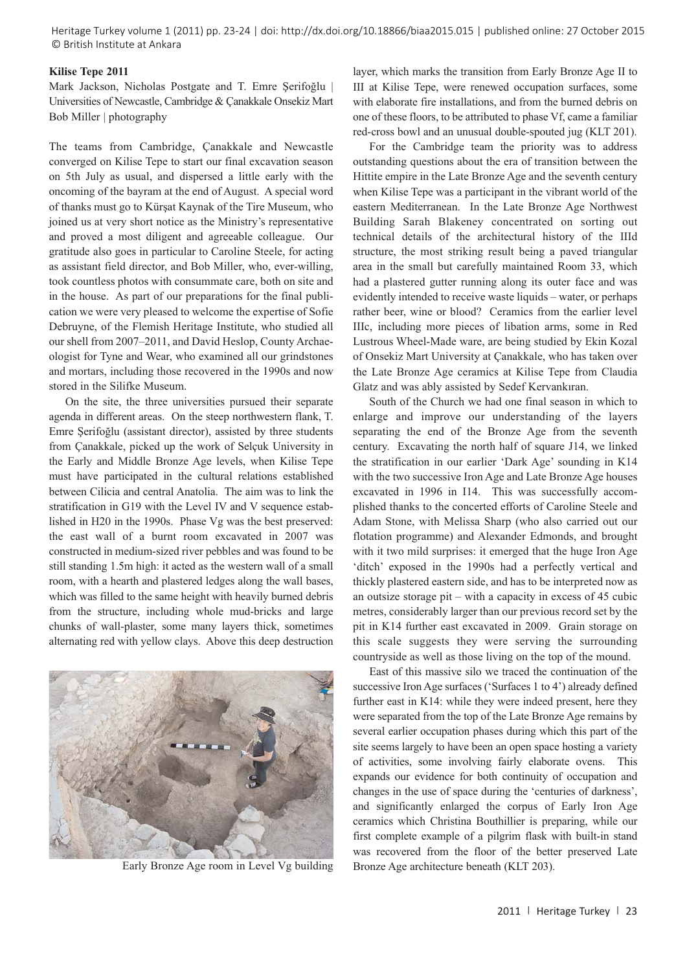Heritage Turkey volume 1 (2011) pp. 23-24 | doi: http://dx.doi.org/10.18866/biaa2015.015 | published online: 27 October 2015 © British Institute at Ankara

## **Kilise Tepe 2011**

Mark Jackson, Nicholas Postgate and T. Emre Şerifoğlu | Universities of Newcastle, Cambridge & Çanakkale Onsekiz Mart Bob Miller | photography

The teams from Cambridge, Çanakkale and Newcastle converged on Kilise Tepe to start our final excavation season on 5th July as usual, and dispersed a little early with the oncoming of the bayram at the end of August. A special word of thanks must go to Kürşat Kaynak of the Tire Museum, who joined us at very short notice as the Ministry's representative and proved a most diligent and agreeable colleague. Our gratitude also goes in particular to Caroline Steele, for acting as assistant field director, and Bob Miller, who, ever-willing, took countless photos with consummate care, both on site and in the house. As part of our preparations for the final publication we were very pleased to welcome the expertise of Sofie Debruyne, of the Flemish Heritage Institute, who studied all our shell from 2007–2011, and David Heslop, County Archaeologist for Tyne and Wear, who examined all our grindstones and mortars, including those recovered in the 1990s and now stored in the Silifke Museum.

On the site, the three universities pursued their separate agenda in different areas. On the steep northwestern flank, T. Emre Şerifoğlu (assistant director), assisted by three students from Çanakkale, picked up the work of Selçuk University in the Early and Middle Bronze Age levels, when Kilise Tepe must have participated in the cultural relations established between Cilicia and central Anatolia. The aim was to link the stratification in G19 with the Level IV and V sequence established in H20 in the 1990s. Phase Vg was the best preserved: the east wall of a burnt room excavated in 2007 was constructed in medium-sized river pebbles and was found to be still standing 1.5m high: it acted as the western wall of a small room, with a hearth and plastered ledges along the wall bases, which was filled to the same height with heavily burned debris from the structure, including whole mud-bricks and large chunks of wall-plaster, some many layers thick, sometimes alternating red with yellow clays. Above this deep destruction



Early Bronze Age room in Level Vg building Bronze Age architecture beneath (KLT 203).

layer, which marks the transition from Early Bronze Age II to III at Kilise Tepe, were renewed occupation surfaces, some with elaborate fire installations, and from the burned debris on one of these floors, to be attributed to phase Vf, came a familiar red-cross bowl and an unusual double-spouted jug (KLT 201).

For the Cambridge team the priority was to address outstanding questions about the era of transition between the Hittite empire in the Late Bronze Age and the seventh century when Kilise Tepe was a participant in the vibrant world of the eastern Mediterranean. In the Late Bronze Age Northwest Building Sarah Blakeney concentrated on sorting out technical details of the architectural history of the IIId structure, the most striking result being a paved triangular area in the small but carefully maintained Room 33, which had a plastered gutter running along its outer face and was evidently intended to receive waste liquids – water, or perhaps rather beer, wine or blood? Ceramics from the earlier level IIIc, including more pieces of libation arms, some in Red Lustrous Wheel-Made ware, are being studied by Ekin Kozal of Onsekiz Mart University at Çanakkale, who has taken over the Late Bronze Age ceramics at Kilise Tepe from Claudia Glatz and was ably assisted by Sedef Kervankıran.

South of the Church we had one final season in which to enlarge and improve our understanding of the layers separating the end of the Bronze Age from the seventh century. Excavating the north half of square J14, we linked the stratification in our earlier 'Dark Age' sounding in K14 with the two successive Iron Age and Late Bronze Age houses excavated in 1996 in I14. This was successfully accomplished thanks to the concerted efforts of Caroline Steele and Adam Stone, with Melissa Sharp (who also carried out our flotation programme) and Alexander Edmonds, and brought with it two mild surprises: it emerged that the huge Iron Age 'ditch' exposed in the 1990s had a perfectly vertical and thickly plastered eastern side, and has to be interpreted now as an outsize storage pit – with a capacity in excess of 45 cubic metres, considerably larger than our previous record set by the pit in K14 further east excavated in 2009. Grain storage on this scale suggests they were serving the surrounding countryside as well as those living on the top of the mound.

East of this massive silo we traced the continuation of the successive Iron Age surfaces ('Surfaces 1 to 4') already defined further east in K14: while they were indeed present, here they were separated from the top of the Late Bronze Age remains by several earlier occupation phases during which this part of the site seems largely to have been an open space hosting a variety of activities, some involving fairly elaborate ovens. This expands our evidence for both continuity of occupation and changes in the use of space during the 'centuries of darkness', and significantly enlarged the corpus of Early Iron Age ceramics which Christina Bouthillier is preparing, while our first complete example of a pilgrim flask with built-in stand was recovered from the floor of the better preserved Late